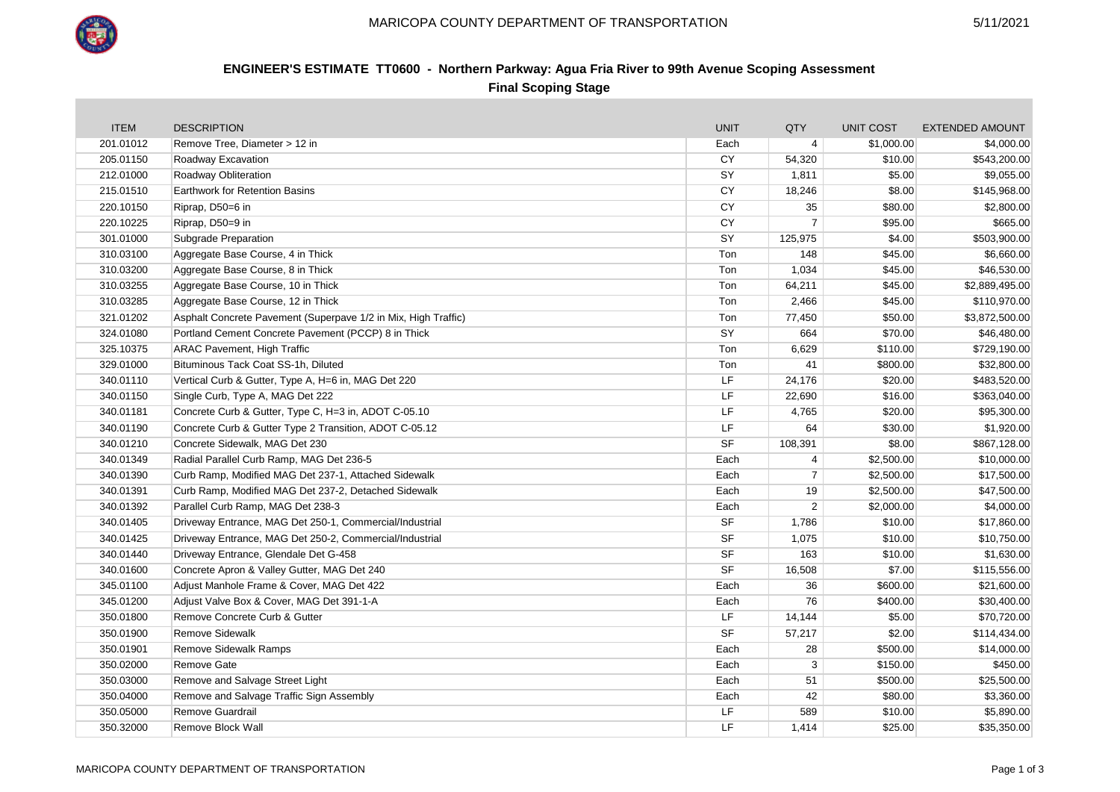

## **ENGINEER'S ESTIMATE TT0600 - Northern Parkway: Agua Fria River to 99th Avenue Scoping Assessment Final Scoping Stage**

| <b>ITEM</b> | <b>DESCRIPTION</b>                                             | <b>UNIT</b> | QTY            | <b>UNIT COST</b> | <b>EXTENDED AMOUNT</b> |
|-------------|----------------------------------------------------------------|-------------|----------------|------------------|------------------------|
| 201.01012   | Remove Tree, Diameter > 12 in                                  | Each        | $\overline{4}$ | \$1,000.00       | \$4,000.00             |
| 205.01150   | Roadway Excavation                                             | CY          | 54,320         | \$10.00          | \$543,200.00           |
| 212.01000   | Roadway Obliteration                                           | SY          | 1,811          | \$5.00           | \$9,055.00             |
| 215.01510   | Earthwork for Retention Basins                                 | <b>CY</b>   | 18,246         | \$8.00           | \$145,968.00           |
| 220.10150   | Riprap, D50=6 in                                               | CY          | 35             | \$80.00          | \$2,800.00             |
| 220.10225   | Riprap, D50=9 in                                               | CY          | $\overline{7}$ | \$95.00          | \$665.00               |
| 301.01000   | Subgrade Preparation                                           | SY          | 125,975        | \$4.00           | \$503,900.00           |
| 310.03100   | Aggregate Base Course, 4 in Thick                              | Ton         | 148            | \$45.00          | \$6,660.00             |
| 310.03200   | Aggregate Base Course, 8 in Thick                              | Ton         | 1,034          | \$45.00          | \$46,530.00            |
| 310.03255   | Aggregate Base Course, 10 in Thick                             | Ton         | 64,211         | \$45.00          | \$2,889,495.00         |
| 310.03285   | Aggregate Base Course, 12 in Thick                             | Ton         | 2,466          | \$45.00          | \$110,970.00           |
| 321.01202   | Asphalt Concrete Pavement (Superpave 1/2 in Mix, High Traffic) | Ton         | 77,450         | \$50.00          | \$3,872,500.00         |
| 324.01080   | Portland Cement Concrete Pavement (PCCP) 8 in Thick            | SY          | 664            | \$70.00          | \$46,480.00            |
| 325.10375   | <b>ARAC Pavement, High Traffic</b>                             | Ton         | 6,629          | \$110.00         | \$729,190.00           |
| 329.01000   | Bituminous Tack Coat SS-1h, Diluted                            | Ton         | 41             | \$800.00         | \$32,800.00            |
| 340.01110   | Vertical Curb & Gutter, Type A, H=6 in, MAG Det 220            | LF          | 24,176         | \$20.00          | \$483,520.00           |
| 340.01150   | Single Curb, Type A, MAG Det 222                               | LF          | 22,690         | \$16.00          | \$363,040.00           |
| 340.01181   | Concrete Curb & Gutter, Type C, H=3 in, ADOT C-05.10           | LF          | 4,765          | \$20.00          | \$95,300.00            |
| 340.01190   | Concrete Curb & Gutter Type 2 Transition, ADOT C-05.12         | LF          | 64             | \$30.00          | \$1,920.00             |
| 340.01210   | Concrete Sidewalk, MAG Det 230                                 | <b>SF</b>   | 108,391        | \$8.00           | \$867,128.00           |
| 340.01349   | Radial Parallel Curb Ramp, MAG Det 236-5                       | Each        | 4              | \$2,500.00       | \$10,000.00            |
| 340.01390   | Curb Ramp, Modified MAG Det 237-1, Attached Sidewalk           | Each        | 7              | \$2,500.00       | \$17,500.00            |
| 340.01391   | Curb Ramp, Modified MAG Det 237-2, Detached Sidewalk           | Each        | 19             | \$2,500.00       | \$47,500.00            |
| 340.01392   | Parallel Curb Ramp, MAG Det 238-3                              | Each        | 2              | \$2,000.00       | \$4,000.00             |
| 340.01405   | Driveway Entrance, MAG Det 250-1, Commercial/Industrial        | <b>SF</b>   | 1,786          | \$10.00          | \$17,860.00            |
| 340.01425   | Driveway Entrance, MAG Det 250-2, Commercial/Industrial        | <b>SF</b>   | 1,075          | \$10.00          | \$10,750.00            |
| 340.01440   | Driveway Entrance, Glendale Det G-458                          | <b>SF</b>   | 163            | \$10.00          | \$1,630.00             |
| 340.01600   | Concrete Apron & Valley Gutter, MAG Det 240                    | <b>SF</b>   | 16,508         | \$7.00           | \$115,556.00           |
| 345.01100   | Adjust Manhole Frame & Cover, MAG Det 422                      | Each        | 36             | \$600.00         | \$21,600.00            |
| 345.01200   | Adjust Valve Box & Cover, MAG Det 391-1-A                      | Each        | 76             | \$400.00         | \$30,400.00            |
| 350.01800   | Remove Concrete Curb & Gutter                                  | LF          | 14,144         | \$5.00           | \$70,720.00            |
| 350.01900   | <b>Remove Sidewalk</b>                                         | <b>SF</b>   | 57,217         | \$2.00           | \$114,434.00           |
| 350.01901   | <b>Remove Sidewalk Ramps</b>                                   | Each        | 28             | \$500.00         | \$14,000.00            |
| 350.02000   | <b>Remove Gate</b>                                             | Each        | 3              | \$150.00         | \$450.00               |
| 350.03000   | Remove and Salvage Street Light                                | Each        | 51             | \$500.00         | \$25,500.00            |
| 350.04000   | Remove and Salvage Traffic Sign Assembly                       | Each        | 42             | \$80.00          | \$3,360.00             |
| 350.05000   | Remove Guardrail                                               | LF          | 589            | \$10.00          | \$5,890.00             |
| 350.32000   | Remove Block Wall                                              | LF          | 1,414          | \$25.00          | \$35,350.00            |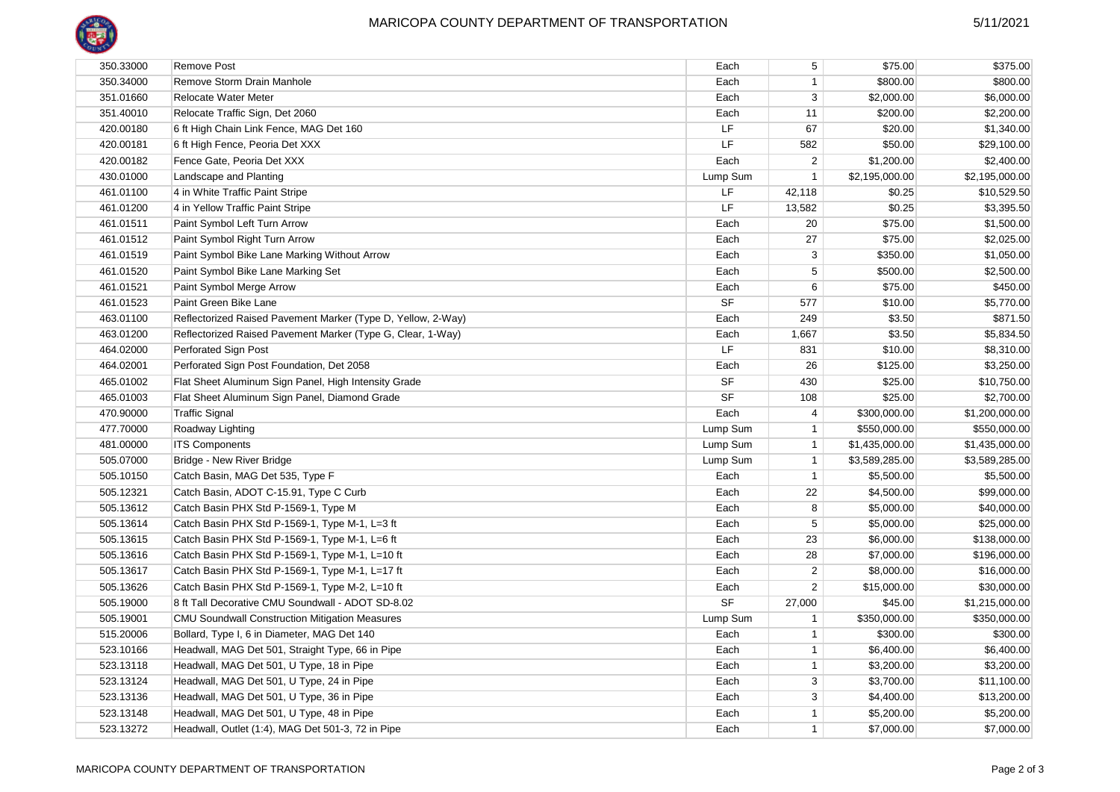

| 350.33000 | <b>Remove Post</b>                                           | Each      | 5              | \$75.00        | \$375.00       |
|-----------|--------------------------------------------------------------|-----------|----------------|----------------|----------------|
| 350.34000 | Remove Storm Drain Manhole                                   | Each      | -1             | \$800.00       | \$800.00       |
| 351.01660 | Relocate Water Meter                                         | Each      | 3              | \$2,000.00     | \$6,000.00     |
| 351.40010 | Relocate Traffic Sign, Det 2060                              | Each      | 11             | \$200.00       | \$2,200.00     |
| 420.00180 | 6 ft High Chain Link Fence, MAG Det 160                      | LF        | 67             | \$20.00        | \$1,340.00     |
| 420.00181 | 6 ft High Fence, Peoria Det XXX                              | LF        | 582            | \$50.00        | \$29,100.00    |
| 420.00182 | Fence Gate, Peoria Det XXX                                   | Each      | $\overline{2}$ | \$1,200.00     | \$2,400.00     |
| 430.01000 | Landscape and Planting                                       | Lump Sum  | $\overline{1}$ | \$2,195,000.00 | \$2,195,000.00 |
| 461.01100 | 4 in White Traffic Paint Stripe                              | LF        | 42,118         | \$0.25         | \$10,529.50    |
| 461.01200 | 4 in Yellow Traffic Paint Stripe                             | LF.       | 13,582         | \$0.25         | \$3,395.50     |
| 461.01511 | Paint Symbol Left Turn Arrow                                 | Each      | 20             | \$75.00        | \$1,500.00     |
| 461.01512 | Paint Symbol Right Turn Arrow                                | Each      | 27             | \$75.00        | \$2,025.00     |
| 461.01519 | Paint Symbol Bike Lane Marking Without Arrow                 | Each      | 3              | \$350.00       | \$1,050.00     |
| 461.01520 | Paint Symbol Bike Lane Marking Set                           | Each      | 5              | \$500.00       | \$2,500.00     |
| 461.01521 | Paint Symbol Merge Arrow                                     | Each      | 6              | \$75.00        | \$450.00       |
| 461.01523 | Paint Green Bike Lane                                        | <b>SF</b> | 577            | \$10.00        | \$5,770.00     |
| 463.01100 | Reflectorized Raised Pavement Marker (Type D, Yellow, 2-Way) | Each      | 249            | \$3.50         | \$871.50       |
| 463.01200 | Reflectorized Raised Pavement Marker (Type G, Clear, 1-Way)  | Each      | 1,667          | \$3.50         | \$5,834.50     |
| 464.02000 | Perforated Sign Post                                         | LF        | 831            | \$10.00        | \$8,310.00     |
| 464.02001 | Perforated Sign Post Foundation, Det 2058                    | Each      | 26             | \$125.00       | \$3,250.00     |
| 465.01002 | Flat Sheet Aluminum Sign Panel, High Intensity Grade         | <b>SF</b> | 430            | \$25.00        | \$10,750.00    |
| 465.01003 | Flat Sheet Aluminum Sign Panel, Diamond Grade                | <b>SF</b> | 108            | \$25.00        | \$2,700.00     |
| 470.90000 | <b>Traffic Signal</b>                                        | Each      | 4              | \$300,000.00   | \$1,200,000.00 |
| 477.70000 | Roadway Lighting                                             | Lump Sum  | $\overline{1}$ | \$550,000.00   | \$550,000.00   |
| 481.00000 | <b>ITS Components</b>                                        | Lump Sum  | $\overline{1}$ | \$1,435,000.00 | \$1,435,000.00 |
| 505.07000 | Bridge - New River Bridge                                    | Lump Sum  | $\overline{1}$ | \$3,589,285.00 | \$3,589,285.00 |
| 505.10150 | Catch Basin, MAG Det 535, Type F                             | Each      | $\overline{1}$ | \$5,500.00     | \$5,500.00     |
| 505.12321 | Catch Basin, ADOT C-15.91, Type C Curb                       | Each      | 22             | \$4,500.00     | \$99,000.00    |
| 505.13612 | Catch Basin PHX Std P-1569-1, Type M                         | Each      | 8              | \$5,000.00     | \$40,000.00    |
| 505.13614 | Catch Basin PHX Std P-1569-1, Type M-1, L=3 ft               | Each      | 5              | \$5,000.00     | \$25,000.00    |
| 505.13615 | Catch Basin PHX Std P-1569-1, Type M-1, L=6 ft               | Each      | 23             | \$6,000.00     | \$138,000.00   |
| 505.13616 | Catch Basin PHX Std P-1569-1, Type M-1, L=10 ft              | Each      | 28             | \$7,000.00     | \$196,000.00   |
| 505.13617 | Catch Basin PHX Std P-1569-1, Type M-1, L=17 ft              | Each      | $\overline{2}$ | \$8,000.00     | \$16,000.00    |
| 505.13626 | Catch Basin PHX Std P-1569-1, Type M-2, L=10 ft              | Each      | 2              | \$15,000.00    | \$30,000.00    |
| 505.19000 | 8 ft Tall Decorative CMU Soundwall - ADOT SD-8.02            | <b>SF</b> | 27,000         | \$45.00        | \$1,215,000.00 |
| 505.19001 | <b>CMU Soundwall Construction Mitigation Measures</b>        | Lump Sum  | $\overline{1}$ | \$350,000.00   | \$350,000.00   |
| 515.20006 | Bollard, Type I, 6 in Diameter, MAG Det 140                  | Each      | $\mathbf{1}$   | \$300.00       | \$300.00       |
| 523.10166 | Headwall, MAG Det 501, Straight Type, 66 in Pipe             | Each      | $\mathbf{1}$   | \$6,400.00     | \$6,400.00     |
| 523.13118 | Headwall, MAG Det 501, U Type, 18 in Pipe                    | Each      | $\mathbf{1}$   | \$3,200.00     | \$3,200.00     |
| 523.13124 | Headwall, MAG Det 501, U Type, 24 in Pipe                    | Each      | 3              | \$3,700.00     | \$11,100.00    |
| 523.13136 | Headwall, MAG Det 501, U Type, 36 in Pipe                    | Each      | 3              | \$4,400.00     | \$13,200.00    |
| 523.13148 | Headwall, MAG Det 501, U Type, 48 in Pipe                    | Each      | $\mathbf{1}$   | \$5,200.00     | \$5,200.00     |
| 523.13272 | Headwall, Outlet (1:4), MAG Det 501-3, 72 in Pipe            | Each      | $\mathbf{1}$   | \$7,000.00     | \$7,000.00     |